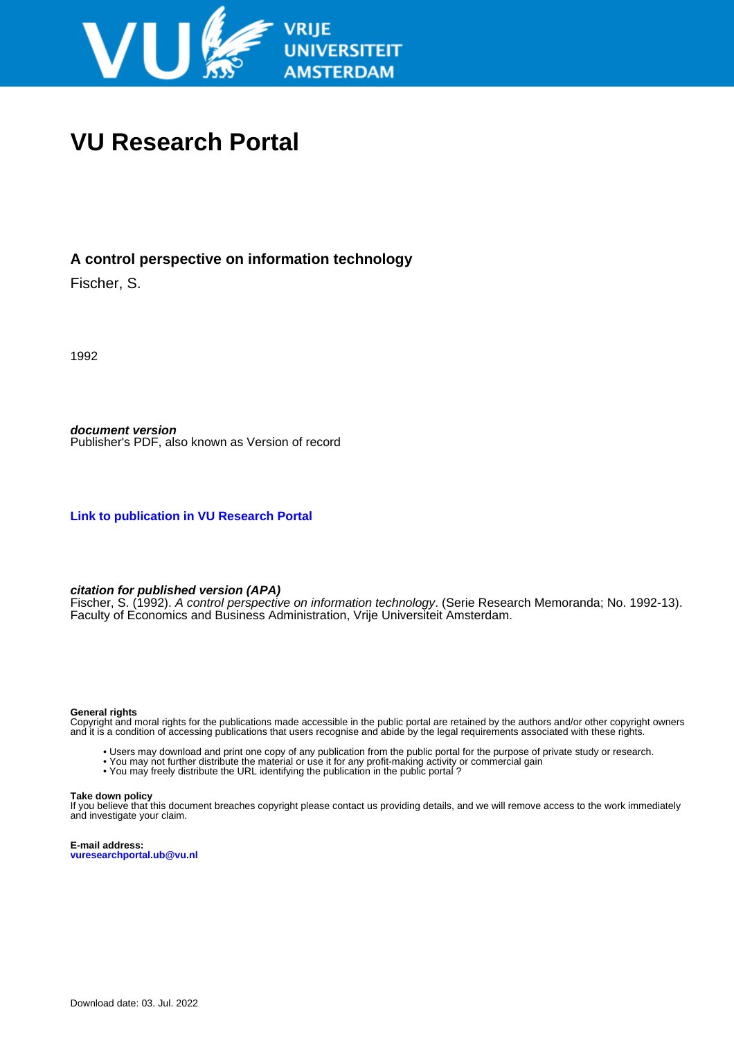

# **VU Research Portal**

# **A control perspective on information technology**

Fischer, S.

1992

**document version** Publisher's PDF, also known as Version of record

**[Link to publication in VU Research Portal](https://research.vu.nl/en/publications/b8cfc9c7-696a-4547-8947-70f1ee630ec0)**

#### **citation for published version (APA)**

Fischer, S. (1992). A control perspective on information technology. (Serie Research Memoranda; No. 1992-13). Faculty of Economics and Business Administration, Vrije Universiteit Amsterdam.

#### **General rights**

Copyright and moral rights for the publications made accessible in the public portal are retained by the authors and/or other copyright owners and it is a condition of accessing publications that users recognise and abide by the legal requirements associated with these rights.

- Users may download and print one copy of any publication from the public portal for the purpose of private study or research.
- You may not further distribute the material or use it for any profit-making activity or commercial gain
- You may freely distribute the URL identifying the publication in the public portal?

#### **Take down policy**

If you believe that this document breaches copyright please contact us providing details, and we will remove access to the work immediately and investigate your claim.

**E-mail address: vuresearchportal.ub@vu.nl**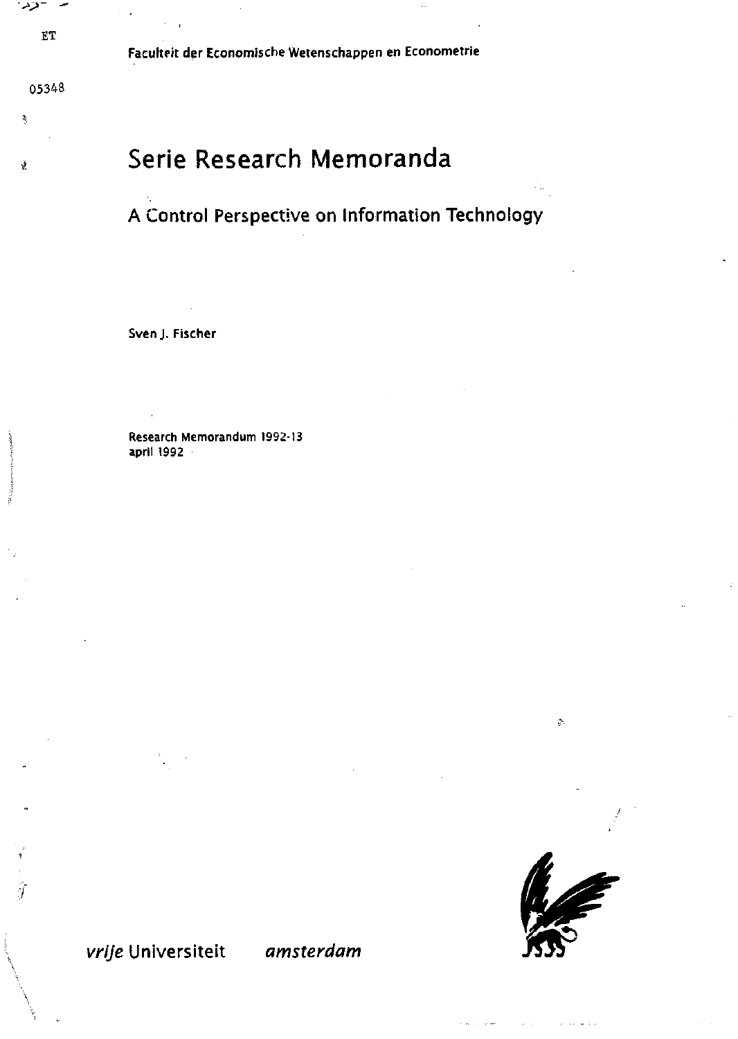$ET$ 

نزد

ð,

ý

Faculteit der Economische Wetenschappen en Econometrie

# Serie Research Memoranda

# A Control Perspective on Information Technology

Sven J. Fischer

Research Memorandum 1992-13 april 1992



 $\frac{\Delta}{2\pi}$ 

# vrije Universiteit amsterdam

ij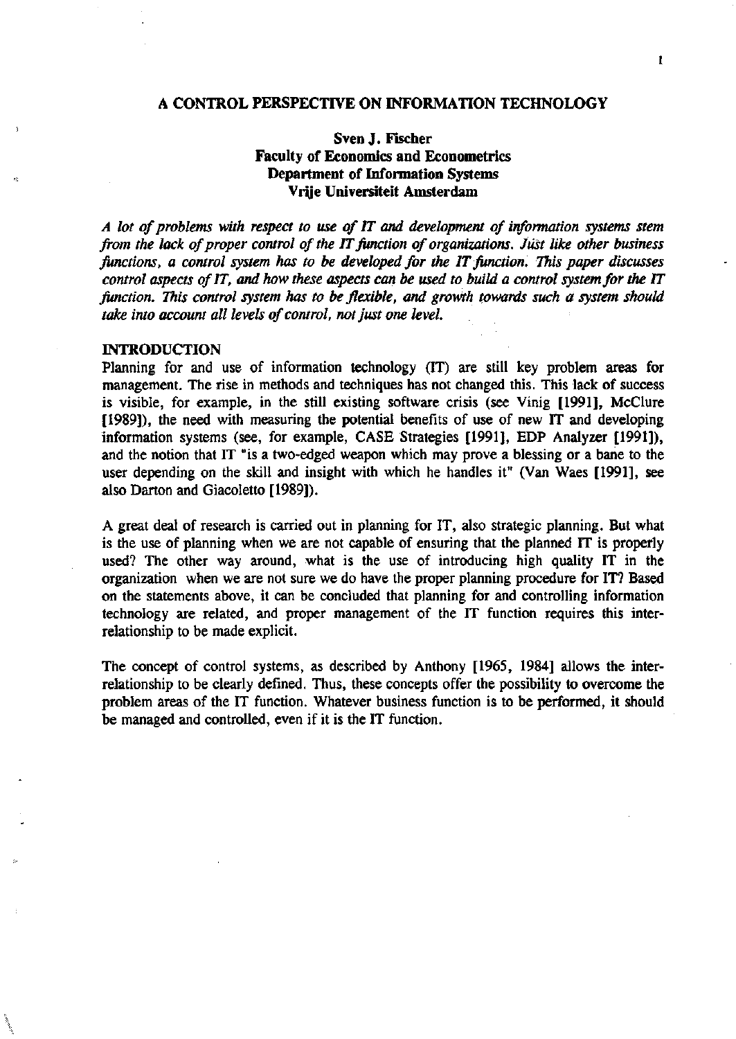#### **A CONTROL PERSPECTTVE ON INFORMATION TECHNOLOGY**

# **Sven J. Fischer Faculty of Economics and Econometrics Department of Information Systems Vrjje Universiteit Amsterdam**

*A lot ofproblems with respect to use of IT and development of information systems stem from the lack of proper control of the IT function of organizations. Jüst like other business*  functions, a control system has to be developed for the IT function. This paper discusses *control aspects of IT, and how these aspects can be used to build a control system for the IT* function. This control system has to be flexible, and growth towards such a system should take into account all levels of control, not just one level.

#### **INTRODUCTION**

Planning for and use of information technology (IT) are still key problem areas for management. The rise in methods and techniques has not changed this. This lack of success is visible, for example, in the still existing software crisis (see Vinig [1991], McClure [1989]), the need with measuring the potential benefits of use of new IT and developing information systems (see, for example, CASE Strategies [1991], EDP Analyzer [1991]), and the notion that IT "is a two-edged weapon which may prove a blessing or a bane to the user depending on the skill and insight with which he handles it" (Van Waes [1991], see also Darton and Giacoletto [1989]).

A great deal of research is carried out in planning for IT, also strategie planning. But what is the use of planning when we are not capable of ensuring that the planned IT is properly used? The other way around, what is the use of introducing high quality IT in the organization when we are not sure we do have the proper planning procedure for IT? Based on the statements above, it can be concluded that planning for and controlling information technology are related, and proper management of the IT function requires this interrelationship to be made explicit.

The concept of control systems, as described by Anthony [1965, 1984] allows the interrelationship to be clearly defined. Thus, these concepts offer the possibility to overcome the problem areas of the IT function. Whatever business function is to be performed, it should be managed and controlled, even if it is the IT function.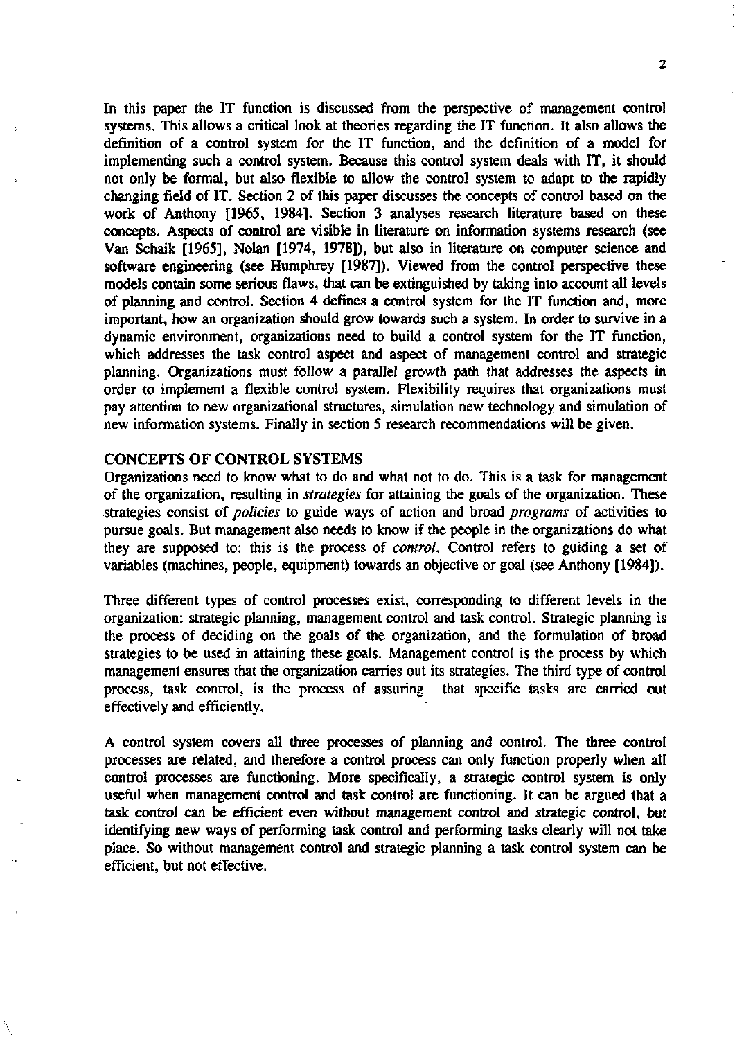In this paper the IT function is discussed from the perspective of management control systems. This allows a critical look at theories regarding the IT function. It also allows the definition of a control system for the IT function, and the definition of a model for implementing such a control system. Because this control system deals with IT, it should not only be formal, but also flexible to allow the control system to adapt to the rapidly changing field of IT. Section 2 of this paper discusses the concepts of control based on the work of Anthony [1965, 1984]. Section 3 analyses research literature based on these concepts. Aspects of control are visible in literature on information systems research (see Van Schaik [1965], Nolan [1974, 1978]), but also in literature on computer science and software engineering (see Humphrey [1987]). Viewed from the control perspective these models contain some serious flaws, that can be extinguished by taking into account all levels of planning and control. Section 4 defines a control system for the IT function and, more important, how an organization should grow towards such a system. In order to survive in a dynamic environment, organizations need to build a control system for the IT function, which addresses the task control aspect and aspect of management control and strategic planning. Organizations must follow a parallel growth path that addresses the aspects in order to implement a flexible control system. Flexibility requires that organizations must pay attention to new organizational structures, simulation new technology and simulation of new information systems. Fihally in section 5 research recommendations will be given.

## CONCEPTS OF CONTROL SYSTEMS

Organizations need to know what to do and what not to do. This is a task for management of the organization, resulting in *strategies* for attaining the goals of the organization. These strategies consist of *policies* to guide ways of action and broad *programs* of activities to pursue goals. But management also needs to know if the people in the organizations do what they are supposed to: this is the process of *control.* Control refers to guiding a set of variables (machines, people, equipment) towards an objective or goal (see Anthony [1984]).

Three different types of control processes exist, corresponding to different levels in the organization: strategie planning, management control and task control. Strategie planning is the process of deciding on the goals of the organization, and the formulation of broad strategies to be used in attaining these goals. Management control is the process by which management ensures that the organization carries out its strategies. The third type of control process, task control, is the process of assuring that specific tasks are carried out effectively and efficiently.

A control system covers all three processes of planning and control. The three control processes are related, and therefore a control process can only function properly when all control processes are functioning. More specifically, a strategie control system is only useful when management control and task control are functioning. It can be argued that a task control can be efficient even without management control and strategic control, but identifying new ways of performing task control and performing tasks clearly will not take place. So without management control and strategie planning a task control system can be efficiënt, but not effective.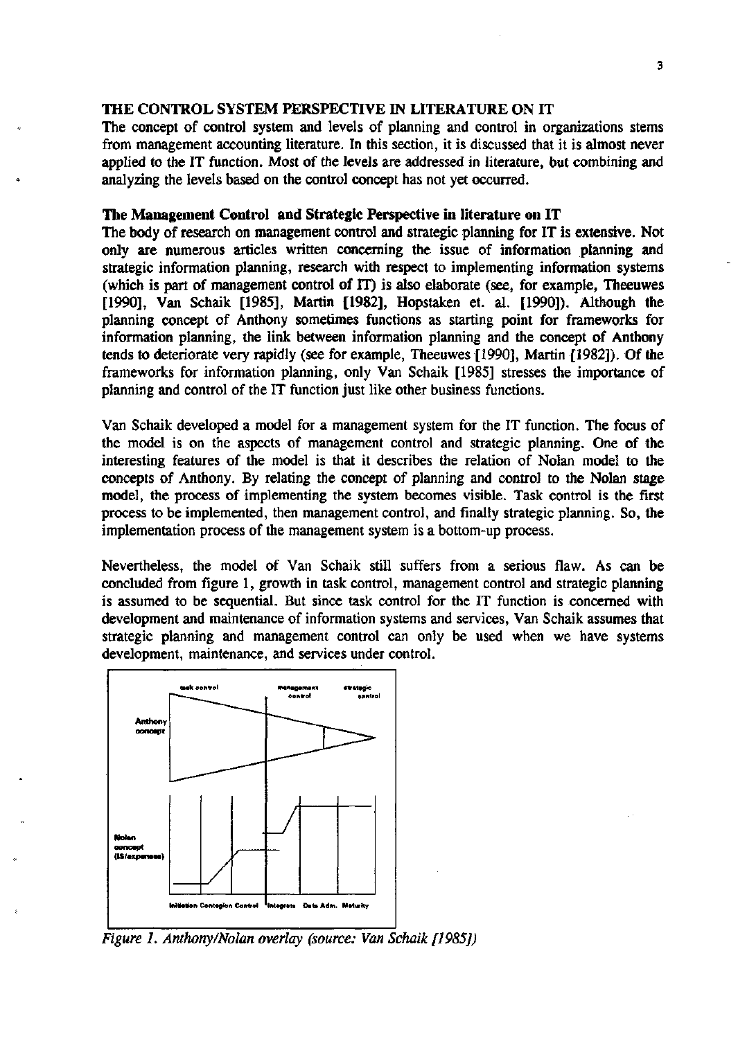### THE CONTROL SYSTEM PERSPECTIVE IN LITERATURE ON IT

The concept of control system and levels of planning and control in organizations sterns from management accounting literature. In this section, it is discussed that it is almost never applied to the IT function. Most of the levels are addressed in literature, but combining and analyzing the levels based on the control concept has not yet occurred.

### **The Management Control and Strategie** Perspective in **literature on** IT

The body of research on management control and strategie planning for IT is extensive. Not only are numerous articles written concerning the issue of information planning and strategie information planning, research with respect to implementing information systems (which is part of management control of IT) is also elaborate (see, for example, Theeuwes [1990], Van Schaik [1985], Martin [1982], Hopstaken et. al. [1990]). Although the planning concept of Anthony sometimes functions as starting point for frameworks for information planning, the link between information planning and the concept of Anthony tends to deteriorate very rapidly (see for example, Theeuwes [1990], Martin [1982]). Of the frameworks for information planning, only Van Schaik [1985] stresses the importance of planning and control of the IT function just like other business functions.

Van Schaik developed a model for a management system for the IT function. The focus of the model is on the aspects of management control and strategie planning. One of the interesting features of the model is that it describes the relation of Nolan model to the concepts of Anthony. By relating the concept of planning and control to the Nolan stage model, the process of implementing the system becomes visible. Task control is the fïrst process to be implemented, then management control, and fmally strategie planning. So, the implementation process of the management system is a bottom-up process.

Nevertheless, the model of Van Schaik still suffers from a serious flaw. As can be concluded from figure 1, growth in task control, management control and strategie planning is assumed to be sequential. But since task control for the IT function is concerned with development and maintenance of information systems and services, Van Schaik assumes that strategic planning and management control can only be used when we have systems development, maintenance, and services under control.



*Figure 1. Anthony/Nolan overlay (source: Van Schaik [1985])*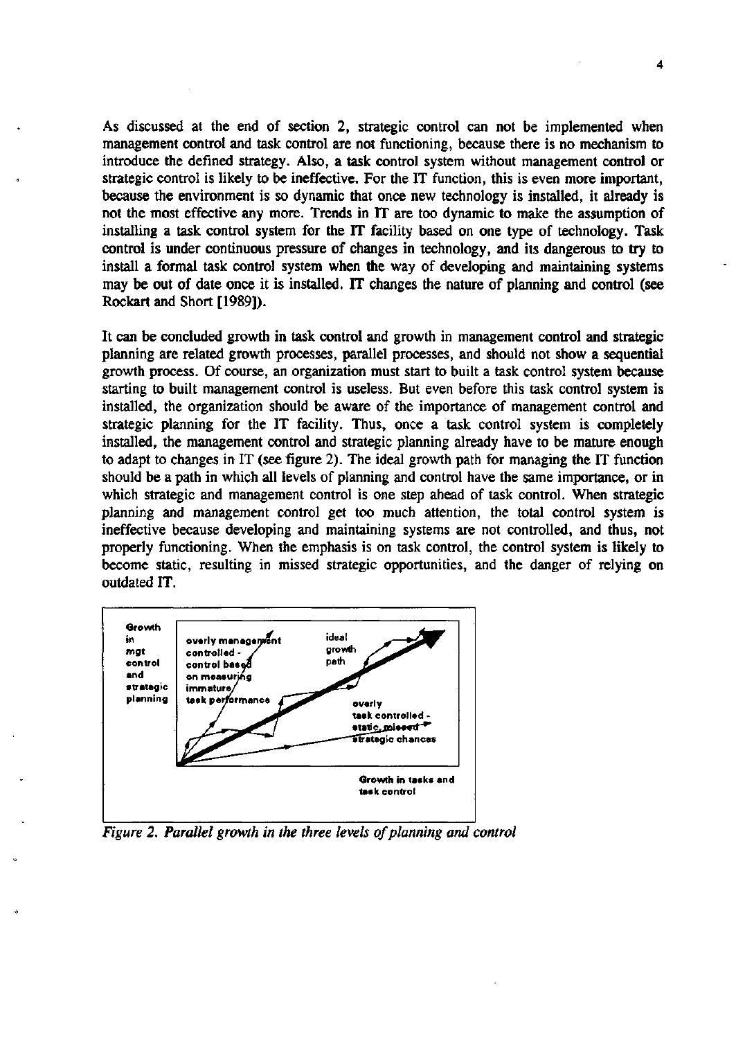As discussed at the end of section *2,* strategie control can not be implemented when management control and task control are not functioning, because there is no mechanism to introducé the defined strategy. Also, a task control system without management control or strategie control is likely to be ineffective. For the IT function, this is even more important, because the environment is so dynamic that once new technology is installed, it already is not the most effective any more. Trends in IT are too dynamic to make the assumption of installing a task control system for the IT facility based on one type of technology. Task control is under continuous pressure of changes in technology, and its dangerous to try to install a formal task control system when the way of developing and maintaining systems may be out of date once it is installed. IT changes the nature of planning and control (see Rockart and Short [1989]).

It can be concluded growth in task control and growth in management control and strategie planning are related growth processes, parallel processes, and should not show a sequential growth process. Of course, an organization must start to built a task control system because starting to built management control is useless. But even before this task control system is installed, the organization should be aware of the importance of management control and strategie planning for the IT facility. Thus, once a task control system is completely installed, the management control and strategie planning already have to be mature enough to adapt to changes in IT (see figure 2). The ideal growth path for managing the IT function should be a path in which all levels of planning and control have the same importance, or in which strategic and management control is one step ahead of task control. When strategic planning and management control get too much attention, the total control system is ineffective because developing and maintaining systems are not controlled, and thus, not properly functioning. When the emphasis is on task control, the control system is likely to become static, resulting in missed strategie opportunities, and the danger of relying on outdated IT.



*Figure 2. Parallel growth in the three levels of planning and control*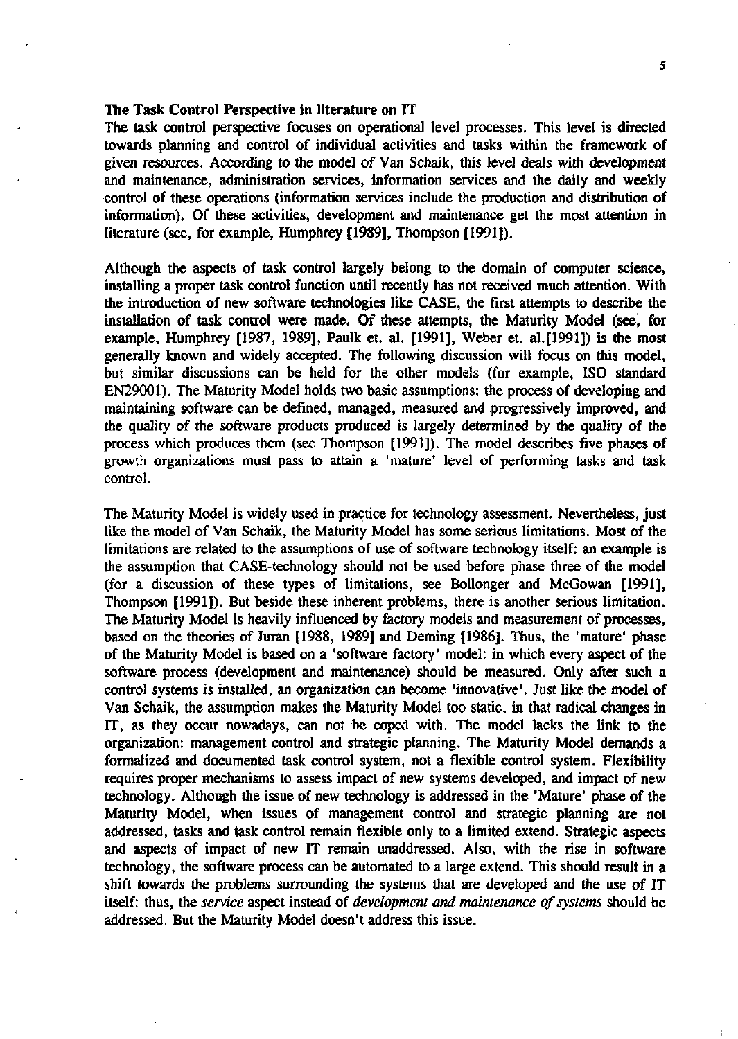#### The Task Control Perspective in literature on IT

The task control perspective focuses on operational level processes. This level is directed towards planning and control of individual activities and tasks within the framework of given resources. According to the model of Van Schaik, this level deals with development and maintenance, administration services, information services and the daily and weekly control of these operations (information services include the production and distribution of information). Of these activities, development and maintenance get the most attention in literature (see, for example, Humphrey [1989], Thompson [1991]).

Although the aspects of task control largely belong to the domain of computer science, installing a proper task control function until recently has not received much attention. With the introduction of new software technologies like CASE, the first attempts to describe the installation of task control were made. Of these attempts, the Maturity Model (see, for example, Humphrey [1987, 1989], Paulk et. al. [1991], Weber et. al.[1991]) is the most generally known and widely accepted. The following discussion will focus on this model, but similar discussions can be held for the other models (for example, ISO Standard EN29001). The Maturity Model holds two basic assumptions: the process of developing and maintaining software can be defined, managed, measured and progressively improved, and the quality of the software products produced is largely determined by the quality of the process which produces them (see Thompson [1991]). The model describes five phases of growth organizations must pass to attain a 'mature' level of performing tasks and task control.

The Maturity Model is widely used in practice for technology assessment. Nevertheless, just like the model of Van Schaik, the Maturity Model has some serious limitations. Most of the limitations are related to the assumptions of use of software technology itself: an example is the assumption that CASE-technology should not be used before phase three of the model (for a discussion of these types of limitations, see Bollonger and McGowan [1991], Thompson [1991]). But beside these inherent problems, there is another serious limitation. The Maturity Model is heavily influenced by factory models and measurement of processes, based on the theories of Juran [1988, 1989] and Deming [1986]. Thus, the 'mature' phase of the Maturity Model is based on a 'software factory' model: in which every aspect of the software process (development and maintenance) should be measured. Only after such a control systems is installed, an organization can become 'innovative'. Just like the model of Van Schaik, the assumption makes the Maturity Model too static, in that radical changes in IT, as they occur nowadays, can not be coped with. The model lacks the link to the organization: management control and strategie planning. The Maturity Model demands a formalized and documented task control system, not a flexible control system. Flexibility requires proper mechanisms to assess impact of new systems developed, and impact of new technology. Although the issue of new technology is addressed in the 'Mature' phase of the Maturity Model, when issues of management control and strategie planning are not addressed, tasks and task control remain flexible only to a limited extend. Strategie aspects and aspects of impact of new IT remain unaddressed. Also, with the rise in software technology, the software process can be automated to a large extend. This should result in a shift towards the problems surrounding the systems that are developed and the use of IT itself: thus, the *service* aspect instead of *development and maintenance of systems* should be addressed. But the Maturity Model doesn't address this issue.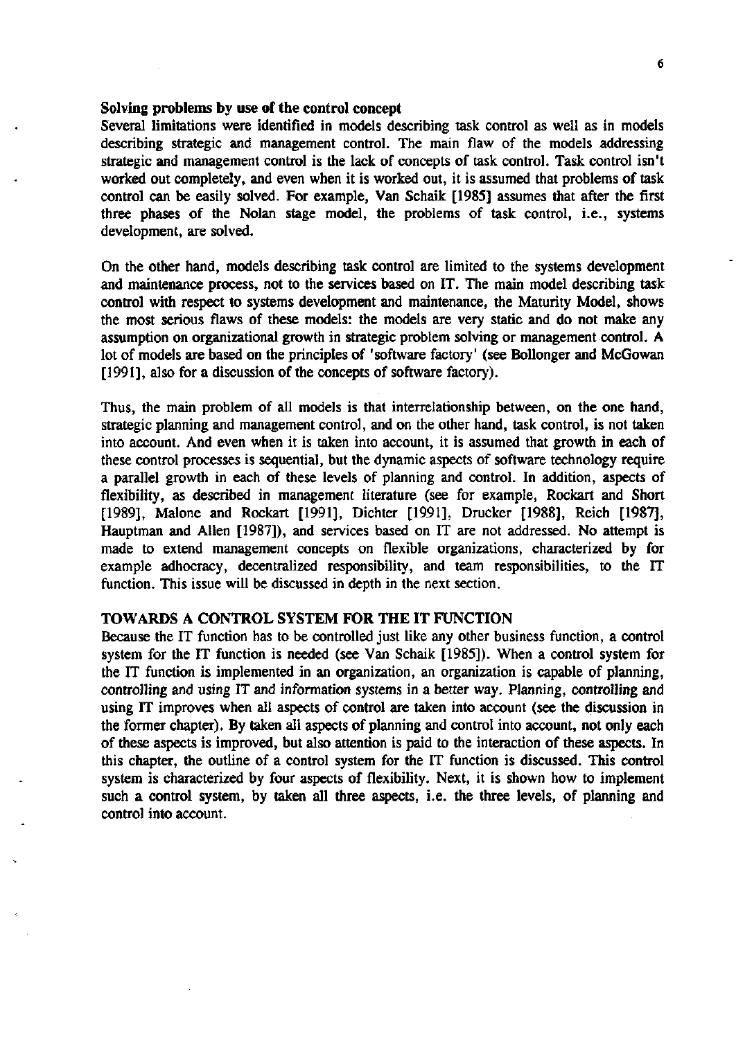#### Solving problems by use of the control concept

Several limitations were identified in models describing task control as well as in models describing strategie and management control. The main flaw of the models addressing strategie and management control is the lack of concepts of task control. Task control isn't worked out completely, and even when it is worked out, it is assumed that problems of task control can be easily solved. For example, Van Schaik [1985] assumes that after the first three phases of the Nolan stage model, the problems of task control, i.e., systems development, are solved.

On the other hand, models describing task control are limited to the systems development and maintenance process, not to the services based on IT. The main model describing task control with respect to systems development and maintenance, the Maturity Model, shows the most serious flaws of these models: the models are very static and do not make any assumption on organizational growth in strategie problem solving or management control. A lot of models are based on the principles of 'software factory' (see Bollonger and McGowan [1991], also for a discussion of the concepts of software factory).

Thus, the main problem of all models is that interrelationship between, on the one hand, strategie planning and management control, and on the other hand, task control, is not taken into account. And even when it is taken into account, it is assumed that growth in each of these control processes is sequential, but the dynamic aspects of software technology require a parallel growth in each of these levels of planning and control. In addition, aspects of flexibility, as described in management literature (see for example, Rockart and Short [1989], Malone and Rockart [1991], Dichter [1991], Drucker [1988], Reich [1987], Hauptman and Allen [1987]), and services based on IT are not addressed. No attempt is made to extend management concepts on flexible organizations, characterized by for example adhocracy, decentralized responsibility, and team responsibilities, to the IT function. This issue will be discussed in depth in the next section.

#### TOWARDS A CONTROL SYSTEM FOR THE IT FUNCTION

Because the IT function has to be controlled just like any other business function, a control system for the IT function is needed (see Van Schaik [1985]). When a control system for the IT function is implemented in an organization, an organization is capable of planning, controlling and using IT and information systems in a better way. Planning, controlling and using IT improves when all aspects of control are taken into account (see the discussion in the former chapter). By taken all aspects of planning and control into account, not only each of these aspects is improved, but also attention is paid to the interaction of these aspects. In this chapter, the outline of a control system for the IT function is discussed. This control system is characterized by four aspects of flexibility. Next, it is shown how to implement such a control system, by taken all three aspects, i.e. the three levels, of planning and control into account.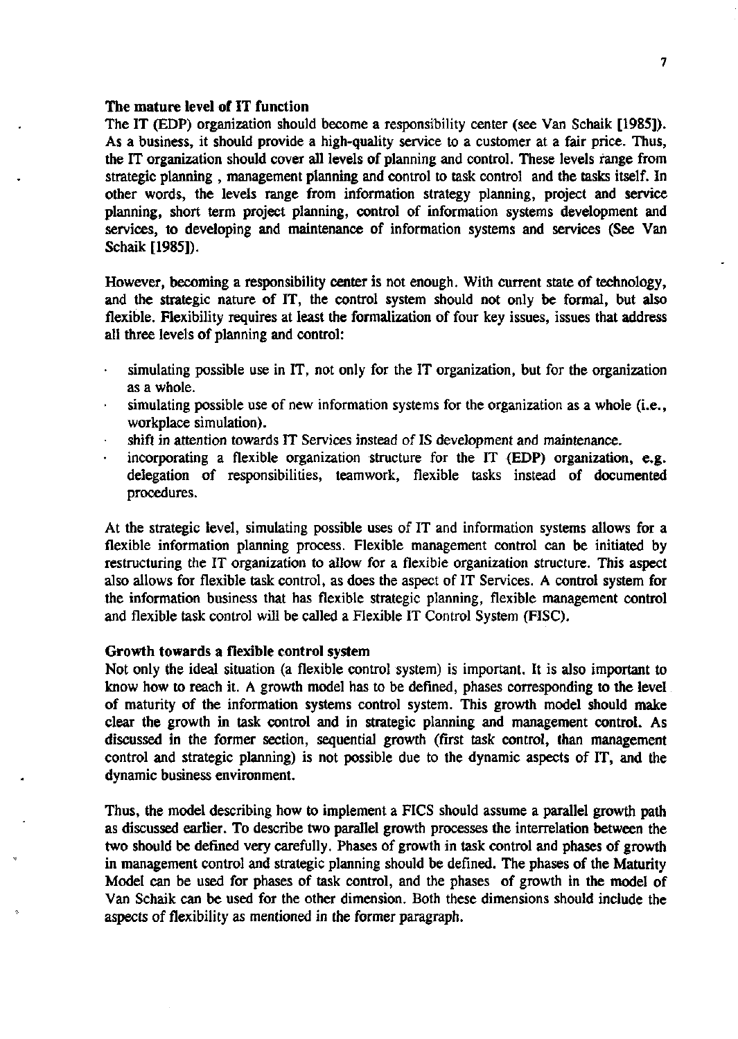## The mature level of IT function

The IT (EDP) organization should become a responsibility center (see Van Schaik [1985]). As a business, it should provide a high-quality service to a customer at a fair price. Thus, the IT organization should cover all levels of planning and control. These levels range from strategie planning , management planning and control to task control and the tasks itself. In other words, the levels range from information strategy planning, project and service planning, short term project planning, control of information systems development and services, to developing and maintenance of information systems and services (See Van Schaik [1985]).

However, becoming a responsibility center is not enough. With current state of technology, and the strategie nature of IT, the control system should not only be formal, but also flexible. Flexibility requires at least the formalization of four key issues, issues that address all three levels of planning and control:

- simulating possible use in IT, not only for the IT organization, but for the organization  $\ddot{\phantom{0}}$ as a whole.
- simulating possible use of new information systems for the organization as a whole (i.e., workplace simulation).
- shift in attention towards IT Services instead of IS development and maintenance.
- incorporating a flexible organization structure for the IT (EDP) organization, e.g. delegation of responsibilities, teamwork, flexible tasks instead of documented procedures.

At the strategie level, simulating possible uses of IT and information systems allows for a flexible information planning process. Flexible management control can be initiated by restructuring the IT organization to allow for a flexible organization structure. This aspect also allows for flexible task control, as does the aspect of IT Services. A control system for the information business that has flexible strategie planning, flexible management control and flexible task control will be called a Flexible IT Control System (FISC).

#### Growth towards a flexible control system

Not only the ideal situation (a flexible control system) is important. It is also important to know how to reach it. A growth model has to be defined, phases corresponding to the level of maturity of the information systems control system. This growth model should make clear the growth in task control and in strategie planning and management control. As discussed in the former section, sequential growth (first task control, than management control and strategie planning) is not possible due to the dynamic aspects of IT, and the dynamic business environment.

Thus, the model describing how to implement a FICS should assume a parallel growth path as discussed earlier. To describe two parallel growth processes the interrelation between the two should be defined very carefully. Phases of growth in task control and phases of growth in management control and strategie planning should be defined. The phases of the Maturity Model can be used for phases of task control, and the phases of growth in the model of Van Schaik can be used for the other dimension. Both these dimensions should include the aspects of flexibility as mentioned in the former paragraph.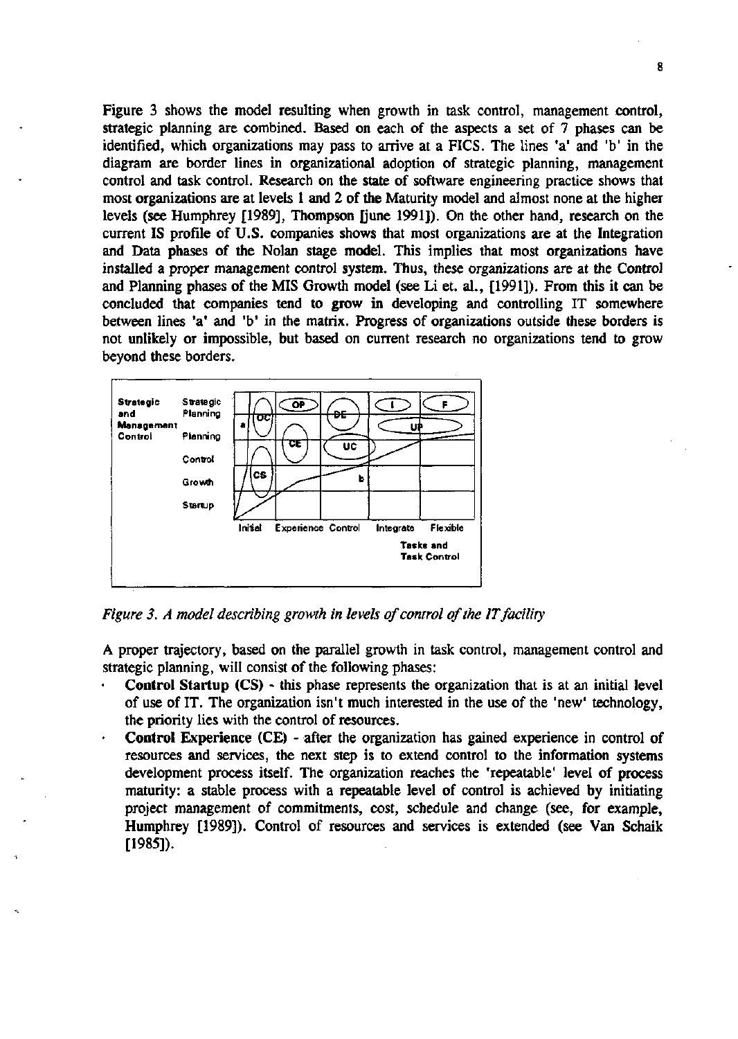Figure 3 shows the model resulting when growth in task control, management control, strategie planning are combined. Based on each of the aspects a set of 7 phases can be identified, which organizations may pass to arrive at a FICS. The lines 'a' and 'b' in the diagram are border lines in organizational adoption of strategie planning, management control and task control. Research on the state of software engineering practice shows that most organizations are at levels 1 and 2 of the Maturity model and almost none at the higher levels (see Humphrey [1989], Thompson [june 1991]). On the other hand, research on the current IS profile of U.S. companies shows that most organizations are at the Integration and Data phases of the Nolan stage model. This implies that most organizations have installed a proper management control system. Thus, these organizations are at the Control and Planning phases of the MIS Growth model (see Li et. al., [1991]). From this it can be concluded that companies tend to grow in developing and controlling IT somewhere between lines 'a' and 'b' in the matrix. Progress of organizations outside these borders is not unlikely or impossible, but based on current research no organizations tend to grow beyond these borders.



*Figure 3. A model describing growth in levels of control of the IT facility* 

A proper trajectory, based on the parallel growth in task control, management control and strategie planning, will consist of the following phases:

- **Control Startup** (CS) this phase represents the organization that is at an initial level of use of IT. The organization isn't much interested in the use of the 'new' technology, the priority lies with the control of resources.
	- Control Experience (CE) after the organization has gained experience in control of resources and services, the next step is to extend control to the information systems development process itself. The organization reaches the 'repeatable' level of process maturity: a stable process with a repeatable level of control is achieved by initiating project management of commitments, cost, schedule and change (see, for example, Humphrey [1989]). Control of resources and services is extended (see Van Schaik [1985]).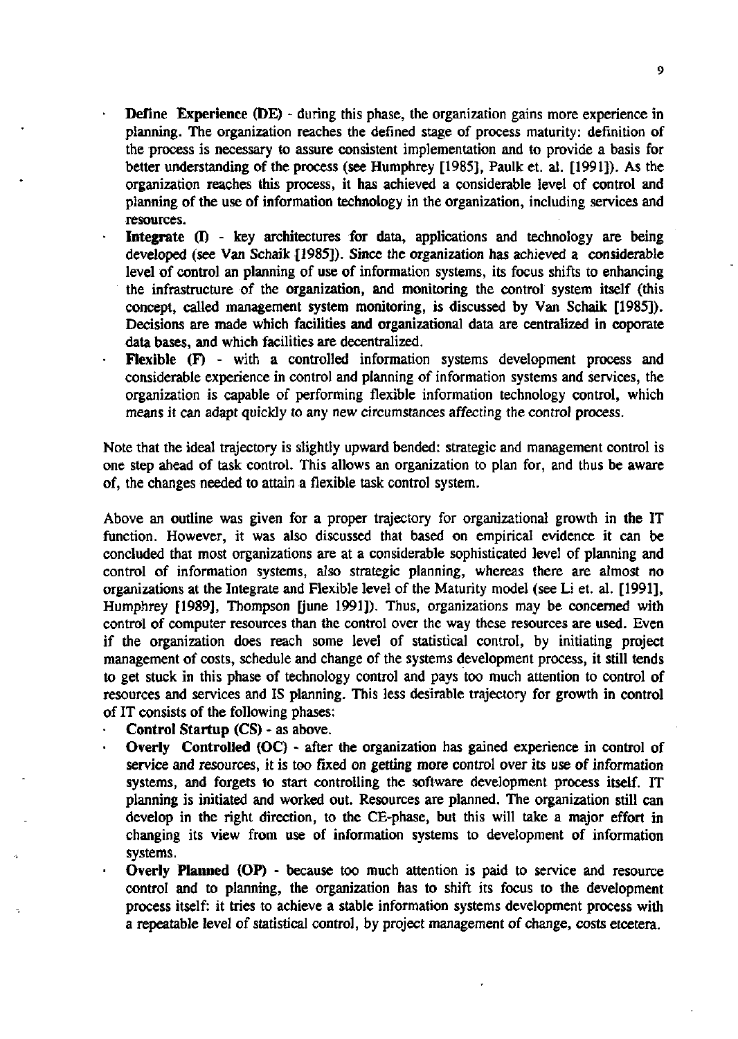- Define Experience (DE) during this phase, the organization gains more experience in planning. The organization reaches the defined stage of process maturity: defmition of the process is necessary to assure consistent implementation and to provide a basis for better understanding of the process (see Humphrey [1985], Paulk et. al. [1991]). As the organization reaches this process, it has achieved a considerable level of control and planning of the use of information technology in the organization, including services and resources.
- Integrate (I) key architectures for data, applications and technology are being developed (see Van Schaik [1985]). Since the organization has achieved a considerable level of control an planning of use of information systems, its focus shifts to enhancing the infrastructure of the organization, and monitoring the control system itself (this concept, called management system monitoring, is discussed by Van Schaik [1985]). Decisions are made which facilities and organizational data are centralized in coporate data bases, and which facilities are decentralized.
- **Flexible** (F) with a controlled information systems development process and considerable experience in control and planning of information systems and services, the organization is capable of performing flexible information technology control, which means it can adapt quickly to any new circumstances affecting the control process.

Note that the ideal trajectory is slightly upward bended: strategie and management control is one step ahead of task control. This allows an organization to plan for, and thus be aware of, the changes needed to attain a flexible task control system.

Above an outline was given for a proper trajectory for organizational growth in the IT function. However, it was also discussed that based on empirical evidence it can be concluded that most organizations are at a considerable sophisticated level of planning and control of information systems, also strategie planning, whereas there are almost no organizations at the Integrate and Flexible level of the Maturity model (see Li et. al. [1991], Humphrey [1989], Thompson [june 1991]). Thus, organizations may be concerned with control of computer resources than the control over the way these resources are used. Even if the organization does reach some level of statistical control, by initiating project management of costs, Schedule and change of the systems development process, it still tends to get stuck in this phase of technology control and pays too much attention to control of resources and services and IS planning. This less desirable trajectory for growth in control of IT consists of the following phases:

- **Control Startup** (CS) as above.
	- **Overly Controlled (OC)** after the organization has gained experience in control of service and resources, it is too fixed on getting more control over its use of information systems, and forgets to start controlling the software development process itself. IT planning is initiated and worked out. Resources are planned. The organization still can develop in the right direction, to the CE-phase, but this will take a major effort in changing its view from use of information systems to development of information systems.
- **Overly Planned (OP)** because too much attention is paid to service and resource control and to planning, the organization has to shift its focus to the development process itself: it tries to achieve a stable information systems development process with a repeatable level of statistical control, by project management of change, costs etcetera.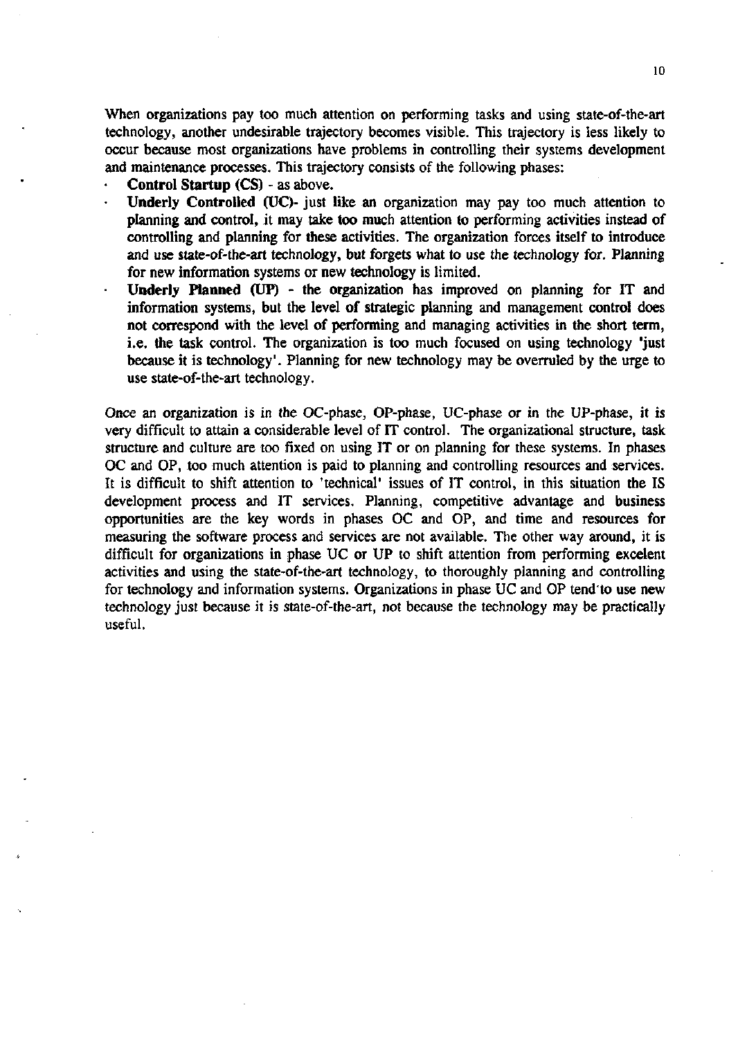When organizations pay too much attention on performing tasks and using state-of-the-art technology, another undesirable trajectory becomes visible. This trajectory is less likely to occur because most organizations have problems in controlling their systems development and maintenance processes. This trajectory consists of the following phases:

**Control** Startup (CS) - as above.

- **Underly Controlled** (UC)- just like an organization may pay too much attention to planning and control, it may take too much attention to performing activities instead of controlling and planning for these activities. The organization forces itself to introducé and use state-of-the-art technology, but forgets what to use the technology for. Planning for new information systems or new technology is limited.
- **Underly Planned** (UP) the organization has improved on planning for IT and information systems, but the level of strategie planning and management control does not correspond with the level of performing and managing activities in the short term, i.e. the task control. The organization is too much focused on using technology 'just because it is technology'. Planning for new technology may be overruled by the urge to use state-of-the-art technology.

Once an organization is in the OC-phase, OP-phase, UC-phase or in the UP-phase, it is very difficult to attain a considerable level of IT control. The organizational structure, task structure and culture are too fixed on using IT or on planning for these systems. In phases OC and OP, too much attention is paid to planning and controlling resources and services. It is difficult to shift attention to 'technical' issues of IT control, in this situation the IS development process and IT services. Planning, competitive advantage and business opportunities are the key words in phases OC and OP, and time and resources for measuring the software process and services are not available. The other way around, it is difficult for organizations in phase UC or UP to shift attention from performing excelent activities and using the state-of-the-art technology, to thoroughly planning and controlling for technology and information systems. Organizations in phase UC and OP tend'to use new technology just because it is state-of-the-art, not because the technology may be practically useful.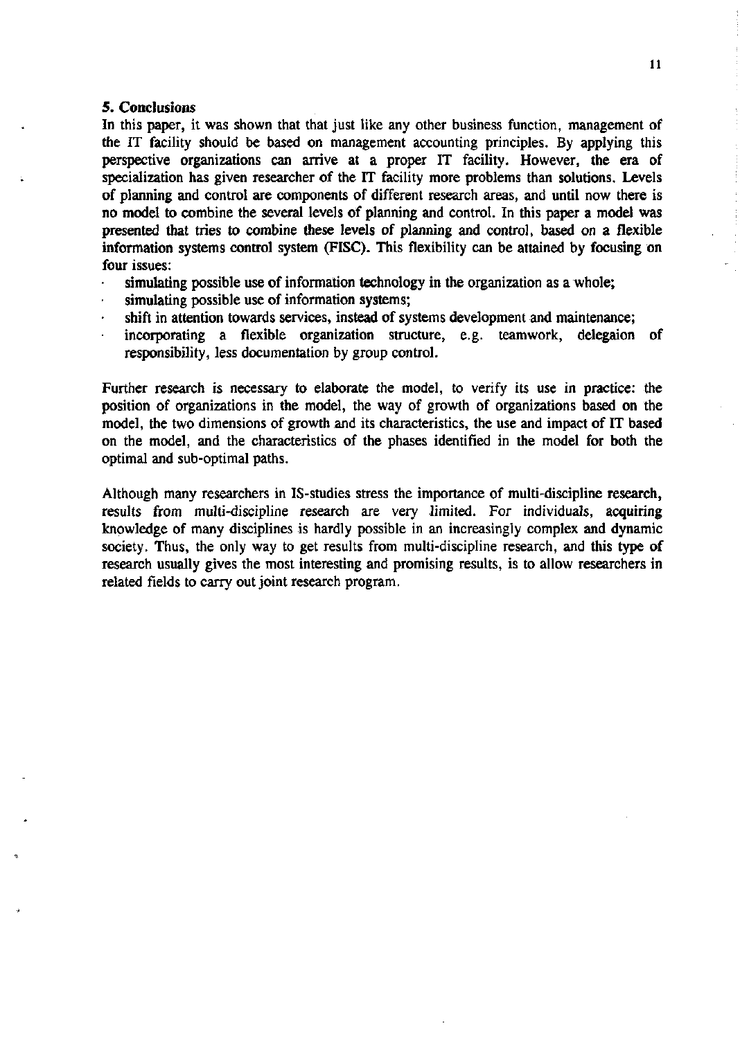### 5. Conclusions

In this paper, it was shown that that just like any other business function, management of the IT facility should be based on management accounting principles. By applying this perspective organizations can arrive at a proper IT facility. However, the era of specialization has given researcher of the IT facility more problems than solutions. Levels of planning and control are components of different research areas, and until now there is no model to combine the several levels of planning and control. In this paper a model was presented that tries to combine these levels of planning and control, based on a flexible information systems control system (FISC). This flexibility can be attained by focusing on four issues:

- simulating possible use of information technology in the organization as a whole;
- simulating possible use of information systems;
- shift in attention towards services, instead of systems development and maintenance;
- incorporating a flexible organization structure, e.g. teamwork, delegaion of responsibility, less documentation by group control.

Further research is necessary to elaborate the model, to verify its use in practice: the position of organizations in the model, the way of growth of organizations based on the model, the two dimensions of growth and its characteristics, the use and impact of IT based on the model, and the characteristics of the phases identified in the model for both the optimal and sub-optimal paths.

Although many researchers in IS-studies stress the importance of multi-discipline research, results from multi-discipline research are very limited. For individuals, acquiring knowledge of many disciplines is hardly possible in an increasingly complex and dynamic society. Thus, the only way to get results from multi-discipline research, and this type of research usually gives the most interesting and promising results, is to allow researchers in related fields to carry out joint research program.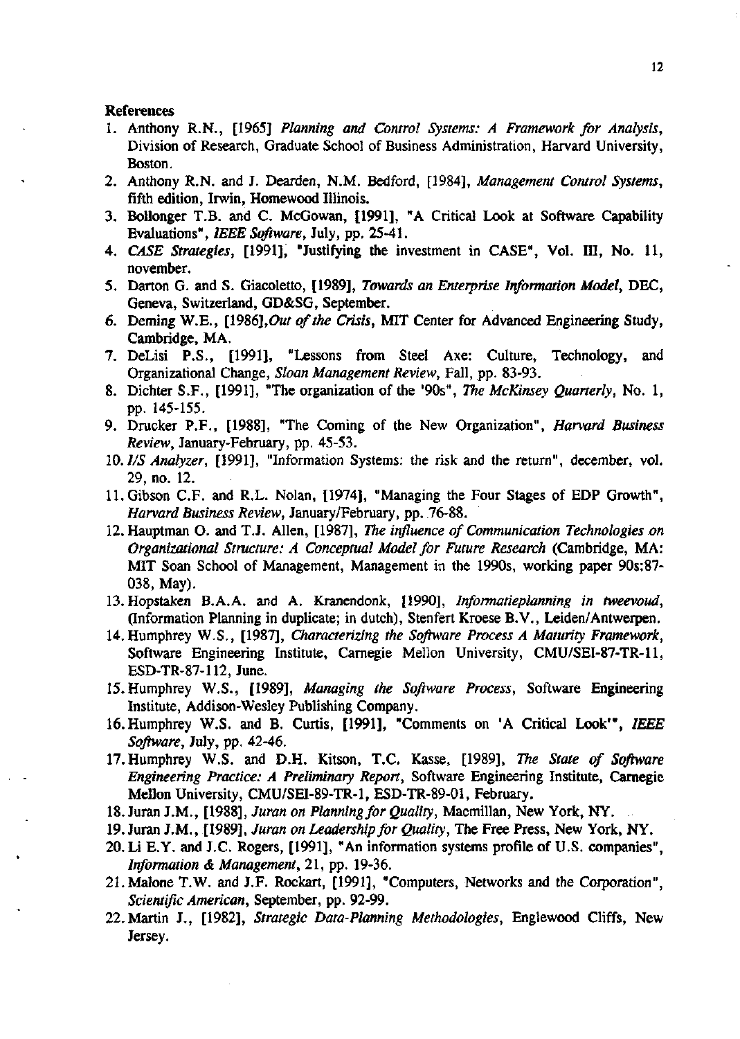#### References

- 1. Anthony R.N., [1965] *Planning and Control Systems: A Framework for Analysis,*  Division of Research, Graduate School of Business Administration, Harvard University, Boston.
- 2. Anthony R.N. and J. Dearden, N.M. Bedford, [1984], *Management Control Systems,*  fifth edition, Irwin, Homewood Illinois.
- 3. Bollonger T.B. and C. McGowan, [1991], "A Critical Look at Software Capability Evaluations", *IEEE Software,* July, pp. 25-41.
- 4. *CASE Strategies,* [1991], "Justifying the investment in CASE", Vol. III, No. 11, november.
- 5. Darton G. and S. Giacoletto, [1989], *Towards an Enterprise Information Model,* DEC, Geneva, Switzerland, GD&SG, September.
- 6. Deming W.E., [1986],*Out of the Crisis,* MIT Center for Advanced Engineering Study, Cambridge, MA.
- 7. DeLisi P.S., [1991], "Lessons from Steel Axe: Culture, Technology, and Organizational Change, *Sloan Management Review,* Fall, pp. 83-93.
- 8. Dichter S.F., [1991], "The organization of the '90s", *The McKinsey Quarterly,* No. 1, pp. 145-155.
- 9. Drucker P.F., [1988], "The Coming of the New Organization", *Harvard Business Review,* January-February, pp. 45-53.
- 10. *I/S Analyzer,* [1991], "Information Systems: the risk and the return", december, vol. 29, no. 12.
- ll.Gibson C.F. and R.L. Nolan, [1974], "Managing the Four Stages of EDP Growth", *Harvard Business Review,* January/February, pp. .76-88.
- 12.Hauptman O. and T.J. Allen, [1987], *The influence of Communication Technologies on Organizational Structure: A Conceptual Model for Future Research* (Cambridge, MA: MIT Soan School of Management, Management in the 1990s, working paper 90s:87- 038, May).
- 13. Hopstaken B.A.A. and A. Kranendonk, [1990], *Informatieplanning in tweevoud,*  (Information Planning in duplicate; in dutch), Stenfert Kroese B.V., Leiden/Antwerpen.
- 14.Humphrey W.S., [1987], *Characterizing the Software Process A Maturity Framework,*  Software Engineering Institute, Carnegie Mellon University, CMU/SEI-87-TR-ll, ESD-TR-87-112, June.
- 15.Humphrey W.S., [1989], *Managing the Software Process,* Software Engineering Institute, Addison-Wesley Publishing Company.
- 16.Humphrey W.S. and B. Curtis, [1991], "Comments on 'A Critical Look'", *IEEE Software,* July, pp. 42-46.
- n.Humphrey W.S. and D.H. Kitson, T.C. Kasse, [1989], *The State of Software Engineering Practice: A Preliminary Report,* Software Engineering Institute, Carnegie Mellon University, CMU/SEI-89-TR-1, ESD-TR-89-01, February.
- 18. Juran J.M., [1988], *Juran on Planning for Quality,* Macmillan, New York, NY.
- 19. Juran J.M., [1989], *Juran on Leadership for Quality,* The Free Press, New York, NY.
- 20. Li E.Y. and J.C. Rogers, [1991], "An information systems profile of U.S. companies", *Information & Management,* 21, pp. 19-36.
- 21.Malone T.W. and J.F. Rockart, [1991], "Computers, Networks and the Corporation", *Scientific American,* September, pp. 92-99.
- 22. Martin J., [1982], *Strategie Data-Planning Methodologies,* Englewood Cliffs, New Jersey.